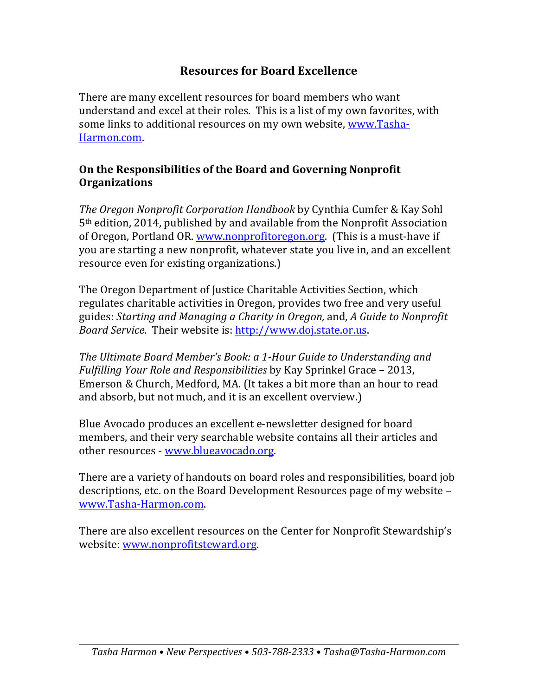# **Resources for Board Excellence**

There are many excellent resources for board members who want understand and excel at their roles. This is a list of my own favorites, with some links to additional resources on my own website, www.Tasha-Harmon.com.

### **On the Responsibilities of the Board and Governing Nonprofit Organizations**

*The Oregon Nonprofit Corporation Handbook* by Cynthia Cumfer & Kay Sohl  $5<sup>th</sup>$  edition, 2014, published by and available from the Nonprofit Association of Oregon, Portland OR www.nonprofitoregon.org (This is a must-have if you are starting a new nonprofit, whatever state you live in, and an excellent resource even for existing organizations.)

The Oregon Department of Justice Charitable Activities Section, which regulates charitable activities in Oregon, provides two free and very useful guides: *Starting and Managing a Charity in Oregon,* and, *A Guide to Nonprofit Board Service.* Their website is: http://www.doj.state.or.us.

The Ultimate Board Member's Book: a 1-Hour Guide to Understanding and *Fulfilling Your Role and Responsibilities* by Kay Sprinkel Grace – 2013, Emerson & Church, Medford, MA. (It takes a bit more than an hour to read and absorb, but not much, and it is an excellent overview.)

Blue Avocado produces an excellent e-newsletter designed for board members, and their very searchable website contains all their articles and other resources - www.blueavocado.org.

There are a variety of handouts on board roles and responsibilities, board job descriptions, etc. on the Board Development Resources page of my website – www.Tasha-Harmon.com.

There are also excellent resources on the Center for Nonprofit Stewardship's website: www.nonprofitsteward.org.